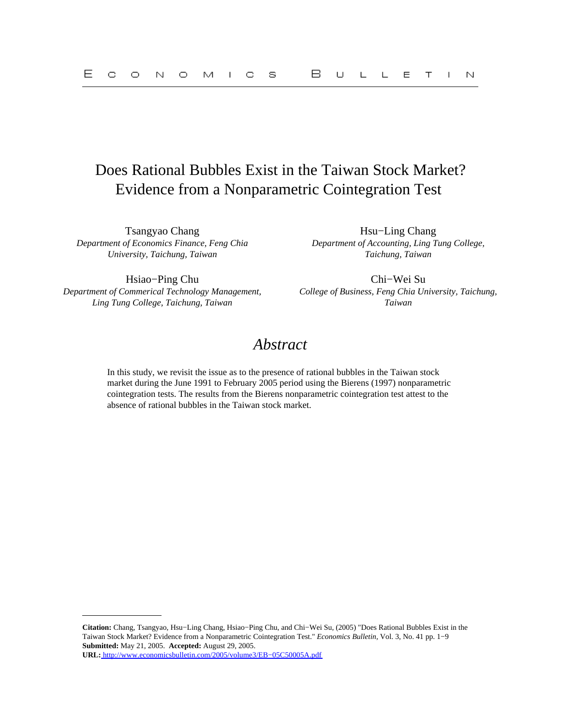# Does Rational Bubbles Exist in the Taiwan Stock Market? Evidence from a Nonparametric Cointegration Test

Tsangyao Chang Hsu−Ling Chang *Department of Economics Finance, Feng Chia University, Taichung, Taiwan*

*Department of Accounting, Ling Tung College, Taichung, Taiwan*

Hsiao−Ping Chu Chi−Wei Su *Department of Commerical Technology Management, Ling Tung College, Taichung, Taiwan*

*College of Business, Feng Chia University, Taichung, Taiwan*

## *Abstract*

In this study, we revisit the issue as to the presence of rational bubbles in the Taiwan stock market during the June 1991 to February 2005 period using the Bierens (1997) nonparametric cointegration tests. The results from the Bierens nonparametric cointegration test attest to the absence of rational bubbles in the Taiwan stock market.

**Citation:** Chang, Tsangyao, Hsu−Ling Chang, Hsiao−Ping Chu, and Chi−Wei Su, (2005) "Does Rational Bubbles Exist in the Taiwan Stock Market? Evidence from a Nonparametric Cointegration Test." *Economics Bulletin,* Vol. 3, No. 41 pp. 1−9 **Submitted:** May 21, 2005. **Accepted:** August 29, 2005. **URL:** [http://www.economicsbulletin.com/2005/volume3/EB−05C50005A.pdf](http://www.economicsbulletin.com/2005/volume3/EB-05C50005A.pdf)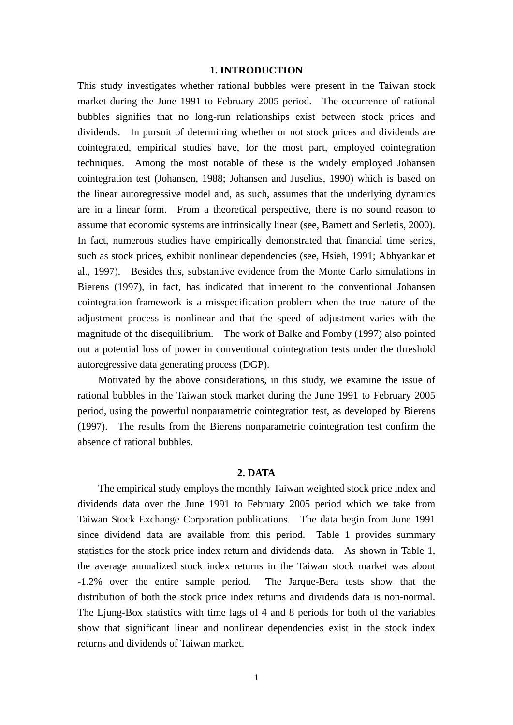## **1. INTRODUCTION**

This study investigates whether rational bubbles were present in the Taiwan stock market during the June 1991 to February 2005 period. The occurrence of rational bubbles signifies that no long-run relationships exist between stock prices and dividends. In pursuit of determining whether or not stock prices and dividends are cointegrated, empirical studies have, for the most part, employed cointegration techniques. Among the most notable of these is the widely employed Johansen cointegration test (Johansen, 1988; Johansen and Juselius, 1990) which is based on the linear autoregressive model and, as such, assumes that the underlying dynamics are in a linear form. From a theoretical perspective, there is no sound reason to assume that economic systems are intrinsically linear (see, Barnett and Serletis, 2000). In fact, numerous studies have empirically demonstrated that financial time series, such as stock prices, exhibit nonlinear dependencies (see, Hsieh, 1991; Abhyankar et al., 1997). Besides this, substantive evidence from the Monte Carlo simulations in Bierens (1997), in fact, has indicated that inherent to the conventional Johansen cointegration framework is a misspecification problem when the true nature of the adjustment process is nonlinear and that the speed of adjustment varies with the magnitude of the disequilibrium. The work of Balke and Fomby (1997) also pointed out a potential loss of power in conventional cointegration tests under the threshold autoregressive data generating process (DGP).

 Motivated by the above considerations, in this study, we examine the issue of rational bubbles in the Taiwan stock market during the June 1991 to February 2005 period, using the powerful nonparametric cointegration test, as developed by Bierens (1997). The results from the Bierens nonparametric cointegration test confirm the absence of rational bubbles.

### **2. DATA**

The empirical study employs the monthly Taiwan weighted stock price index and dividends data over the June 1991 to February 2005 period which we take from Taiwan Stock Exchange Corporation publications. The data begin from June 1991 since dividend data are available from this period. Table 1 provides summary statistics for the stock price index return and dividends data. As shown in Table 1, the average annualized stock index returns in the Taiwan stock market was about -1.2% over the entire sample period. The Jarque-Bera tests show that the distribution of both the stock price index returns and dividends data is non-normal. The Ljung-Box statistics with time lags of 4 and 8 periods for both of the variables show that significant linear and nonlinear dependencies exist in the stock index returns and dividends of Taiwan market.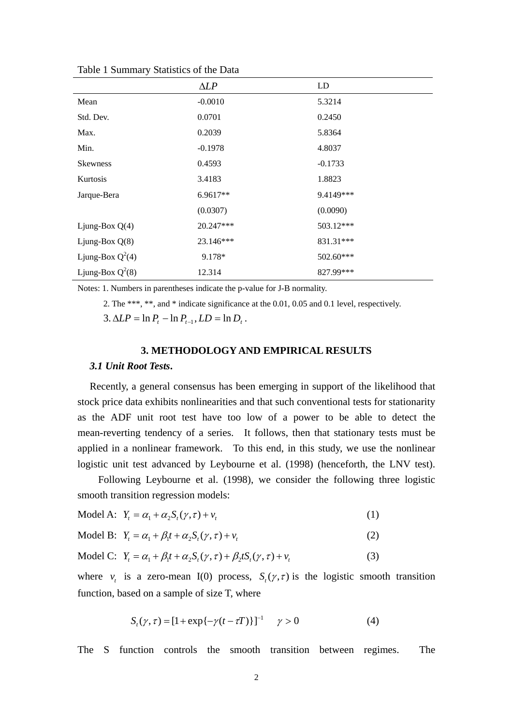|                    | $\Delta LP$ | LD        |
|--------------------|-------------|-----------|
| Mean               | $-0.0010$   | 5.3214    |
| Std. Dev.          | 0.0701      | 0.2450    |
| Max.               | 0.2039      | 5.8364    |
| Min.               | $-0.1978$   | 4.8037    |
| <b>Skewness</b>    | 0.4593      | $-0.1733$ |
| Kurtosis           | 3.4183      | 1.8823    |
| Jarque-Bera        | 6.9617**    | 9.4149*** |
|                    | (0.0307)    | (0.0090)  |
| Ljung-Box $Q(4)$   | 20.247***   | 503.12*** |
| Ljung-Box $Q(8)$   | 23.146***   | 831.31*** |
| Ljung-Box $Q^2(4)$ | 9.178*      | 502.60*** |
| Ljung-Box $Q^2(8)$ | 12.314      | 827.99*** |

Table 1 Summary Statistics of the Data

Notes: 1. Numbers in parentheses indicate the p-value for J-B normality.

2. The \*\*\*, \*\*, and \* indicate significance at the 0.01, 0.05 and 0.1 level, respectively.

 $3. \Delta LP = \ln P_1 - \ln P_{t-1}$ ,  $LD = \ln D_t$ .

#### **3. METHODOLOGY AND EMPIRICAL RESULTS**

#### *3.1 Unit Root Tests***.**

Recently, a general consensus has been emerging in support of the likelihood that stock price data exhibits nonlinearities and that such conventional tests for stationarity as the ADF unit root test have too low of a power to be able to detect the mean-reverting tendency of a series. It follows, then that stationary tests must be applied in a nonlinear framework. To this end, in this study, we use the nonlinear logistic unit test advanced by Leybourne et al. (1998) (henceforth, the LNV test).

 Following Leybourne et al. (1998), we consider the following three logistic smooth transition regression models:

$$
\text{Model A: } Y_t = \alpha_1 + \alpha_2 S_t(\gamma, \tau) + v_t \tag{1}
$$

$$
\text{Model B: } Y_t = \alpha_1 + \beta_1 t + \alpha_2 S_t(\gamma, \tau) + v_t \tag{2}
$$

$$
\text{Model C:} \ \ Y_t = \alpha_1 + \beta_1 t + \alpha_2 S_t(\gamma, \tau) + \beta_2 t S_t(\gamma, \tau) + v_t \tag{3}
$$

where  $v_t$  is a zero-mean I(0) process,  $S_t(\gamma, \tau)$  is the logistic smooth transition function, based on a sample of size T, where

$$
S_{t}(\gamma, \tau) = [1 + \exp\{-\gamma(t - \tau T)\}]^{-1} \quad \gamma > 0 \tag{4}
$$

The S function controls the smooth transition between regimes. The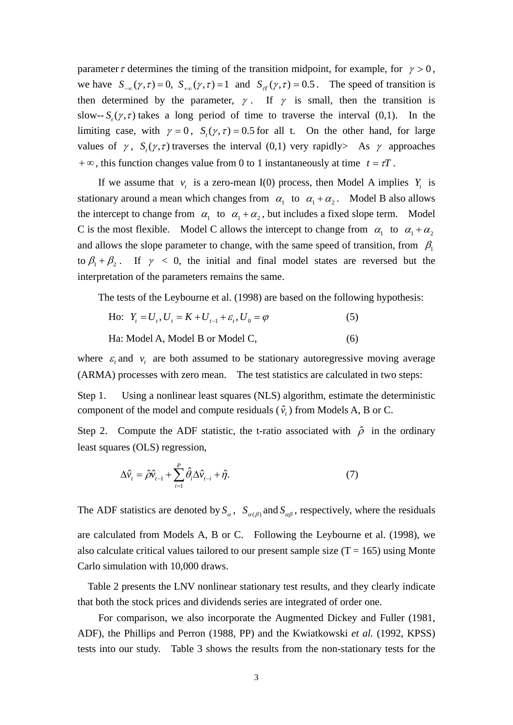parameter  $\tau$  determines the timing of the transition midpoint, for example, for  $\gamma > 0$ , we have  $S_{-\infty}(\gamma, \tau) = 0$ ,  $S_{+\infty}(\gamma, \tau) = 1$  and  $S_{\tau}(\gamma, \tau) = 0.5$ . The speed of transition is then determined by the parameter,  $\gamma$ . If  $\gamma$  is small, then the transition is slow--  $S_{i}(\gamma, \tau)$  takes a long period of time to traverse the interval (0,1). In the limiting case, with  $\gamma = 0$ ,  $S_{\gamma}(\gamma, \tau) = 0.5$  for all t. On the other hand, for large values of  $\gamma$ ,  $S_r(\gamma, \tau)$  traverses the interval (0,1) very rapidly As  $\gamma$  approaches +  $\infty$ , this function changes value from 0 to 1 instantaneously at time  $t = \tau T$ .

If we assume that  $v_t$  is a zero-mean I(0) process, then Model A implies  $Y_t$  is stationary around a mean which changes from  $\alpha_1$  to  $\alpha_1 + \alpha_2$ . Model B also allows the intercept to change from  $\alpha_1$  to  $\alpha_1 + \alpha_2$ , but includes a fixed slope term. Model C is the most flexible. Model C allows the intercept to change from  $\alpha_1$  to  $\alpha_1 + \alpha_2$ and allows the slope parameter to change, with the same speed of transition, from  $\beta_1$ to  $\beta_1 + \beta_2$ . If  $\gamma < 0$ , the initial and final model states are reversed but the interpretation of the parameters remains the same.

The tests of the Leybourne et al. (1998) are based on the following hypothesis:

- Ho:  $Y_t = U_t$ ,  $U_t = K + U_{t-1} + \varepsilon_t$ ,  $U_0 = \varphi$  (5)
- Ha: Model A, Model B or Model C,  $(6)$

where  $\varepsilon$  and  $v_t$  are both assumed to be stationary autoregressive moving average (ARMA) processes with zero mean. The test statistics are calculated in two steps:

Step 1. Using a nonlinear least squares (NLS) algorithm, estimate the deterministic component of the model and compute residuals  $(\hat{v})$  from Models A, B or C.

Step 2. Compute the ADF statistic, the t-ratio associated with  $\hat{\rho}$  in the ordinary least squares (OLS) regression,

$$
\Delta \hat{v}_t = \hat{\rho} \hat{v}_{t-1} + \sum_{i=1}^P \hat{\theta}_i \Delta \hat{v}_{t-i} + \hat{\eta}.
$$
\n(7)

The ADF statistics are denoted by  $S_\alpha$ ,  $S_{\alpha(\beta)}$  and  $S_{\alpha\beta}$ , respectively, where the residuals are calculated from Models A, B or C. Following the Leybourne et al. (1998), we also calculate critical values tailored to our present sample size  $(T = 165)$  using Monte Carlo simulation with 10,000 draws.

 Table 2 presents the LNV nonlinear stationary test results, and they clearly indicate that both the stock prices and dividends series are integrated of order one.

For comparison, we also incorporate the Augmented Dickey and Fuller (1981, ADF), the Phillips and Perron (1988, PP) and the Kwiatkowski *et al.* (1992, KPSS) tests into our study. Table 3 shows the results from the non-stationary tests for the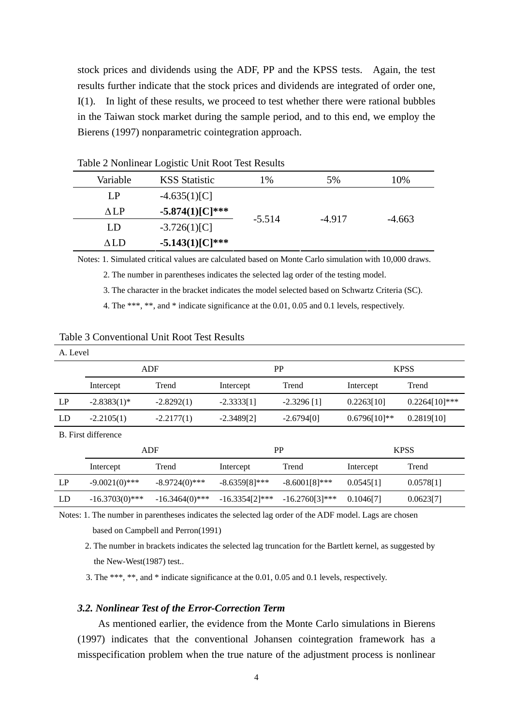stock prices and dividends using the ADF, PP and the KPSS tests. Again, the test results further indicate that the stock prices and dividends are integrated of order one, I(1). In light of these results, we proceed to test whether there were rational bubbles in the Taiwan stock market during the sample period, and to this end, we employ the Bierens (1997) nonparametric cointegration approach.

| Variable | <b>KSS</b> Statistic | 1%       | 5%       | 10%      |
|----------|----------------------|----------|----------|----------|
| LP       | $-4.635(1)[C]$       |          |          |          |
| ALP      | $-5.874(1)[C]^{***}$ |          |          |          |
| LD       | $-3.726(1)[C]$       | $-5.514$ | $-4.917$ | $-4.663$ |
| ALD      | $-5.143(1)[C]^{***}$ |          |          |          |

Table 2 Nonlinear Logistic Unit Root Test Results

Notes: 1. Simulated critical values are calculated based on Monte Carlo simulation with 10,000 draws.

2. The number in parentheses indicates the selected lag order of the testing model.

3. The character in the bracket indicates the model selected based on Schwartz Criteria (SC).

4. The \*\*\*, \*\*, and \* indicate significance at the 0.01, 0.05 and 0.1 levels, respectively.

| A. Level            |                   |                   |                  |                  |                |                  |
|---------------------|-------------------|-------------------|------------------|------------------|----------------|------------------|
|                     | ADF               |                   | PP               |                  | <b>KPSS</b>    |                  |
|                     | Intercept         | Trend             | Intercept        | Trend            | Intercept      | Trend            |
| LP                  | $-2.8383(1)$ *    | $-2.8292(1)$      | $-2.3333[1]$     | $-2.3296$ [1]    | 0.2263[10]     | $0.2264[10]$ *** |
| LD                  | $-2.2105(1)$      | $-2.2177(1)$      | $-2.3489[2]$     | $-2.6794[0]$     | $0.6796[10]**$ | 0.2819[10]       |
| B. First difference |                   |                   |                  |                  |                |                  |
|                     | <b>ADF</b>        |                   | PP               |                  | <b>KPSS</b>    |                  |
|                     | Intercept         | Trend             | Intercept        | Trend            | Intercept      | Trend            |
| LP                  | $-9.0021(0)$ ***  | $-8.9724(0)$ ***  | $-8.6359[8]$ *** | $-8.6001[8]***$  | 0.0545[1]      | 0.0578[1]        |
| LD                  | $-16.3703(0)$ *** | $-16.3464(0)$ *** | $-16.3354[2]***$ | $-16.2760[3]***$ | 0.1046[7]      | 0.0623[7]        |

Notes: 1. The number in parentheses indicates the selected lag order of the ADF model. Lags are chosen based on Campbell and Perron(1991)

 2. The number in brackets indicates the selected lag truncation for the Bartlett kernel, as suggested by the New-West(1987) test..

3. The \*\*\*, \*\*, and \* indicate significance at the 0.01, 0.05 and 0.1 levels, respectively.

## *3.2. Nonlinear Test of the Error-Correction Term*

 As mentioned earlier, the evidence from the Monte Carlo simulations in Bierens (1997) indicates that the conventional Johansen cointegration framework has a misspecification problem when the true nature of the adjustment process is nonlinear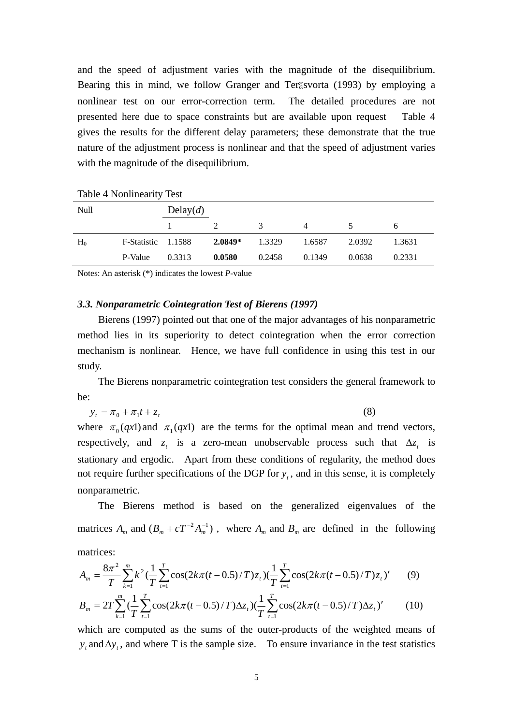and the speed of adjustment varies with the magnitude of the disequilibrium. Bearing this in mind, we follow Granger and Teräsvorta (1993) by employing a nonlinear test on our error-correction term. The detailed procedures are not presented here due to space constraints but are available upon request Table 4 gives the results for the different delay parameters; these demonstrate that the true nature of the adjustment process is nonlinear and that the speed of adjustment varies with the magnitude of the disequilibrium.

| Null  |                    | Delay(d) |           |               |        |        |        |
|-------|--------------------|----------|-----------|---------------|--------|--------|--------|
|       |                    |          |           | $\mathcal{R}$ | 4      |        | 6      |
| $H_0$ | F-Statistic 1.1588 |          | $2.0849*$ | 1.3329        | 1.6587 | 2.0392 | 1.3631 |
|       | P-Value            | 0.3313   | 0.0580    | 0.2458        | 0.1349 | 0.0638 | 0.2331 |

Table 4 Nonlinearity Test

Notes: An asterisk (\*) indicates the lowest *P*-value

#### *3.3. Nonparametric Cointegration Test of Bierens (1997)*

 Bierens (1997) pointed out that one of the major advantages of his nonparametric method lies in its superiority to detect cointegration when the error correction mechanism is nonlinear. Hence, we have full confidence in using this test in our study.

 The Bierens nonparametric cointegration test considers the general framework to be:

$$
y_t = \pi_0 + \pi_1 t + z_t \tag{8}
$$

where  $\pi_0(qx)$  and  $\pi_1(qx)$  are the terms for the optimal mean and trend vectors, respectively, and  $z_t$  is a zero-mean unobservable process such that  $\Delta z_t$  is stationary and ergodic. Apart from these conditions of regularity, the method does not require further specifications of the DGP for  $y_t$ , and in this sense, it is completely nonparametric.

 The Bierens method is based on the generalized eigenvalues of the matrices  $A_m$  and  $(B_m + cT^{-2}A_m^{-1})$ , where  $A_m$  and  $B_m$  are defined in the following matrices:

$$
A_m = \frac{8\pi^2}{T} \sum_{k=1}^m k^2 \left(\frac{1}{T} \sum_{t=1}^T \cos(2k\pi(t-0.5)/T) z_t\right) \left(\frac{1}{T} \sum_{t=1}^T \cos(2k\pi(t-0.5)/T) z_t\right)'
$$
(9)

$$
B_m = 2T \sum_{k=1}^m \left(\frac{1}{T} \sum_{t=1}^T \cos(2k\pi(t-0.5)/T) \Delta z_t\right) \left(\frac{1}{T} \sum_{t=1}^T \cos(2k\pi(t-0.5)/T) \Delta z_t\right)'
$$
(10)

which are computed as the sums of the outer-products of the weighted means of  $y_t$  and  $\Delta y_t$ , and where T is the sample size. To ensure invariance in the test statistics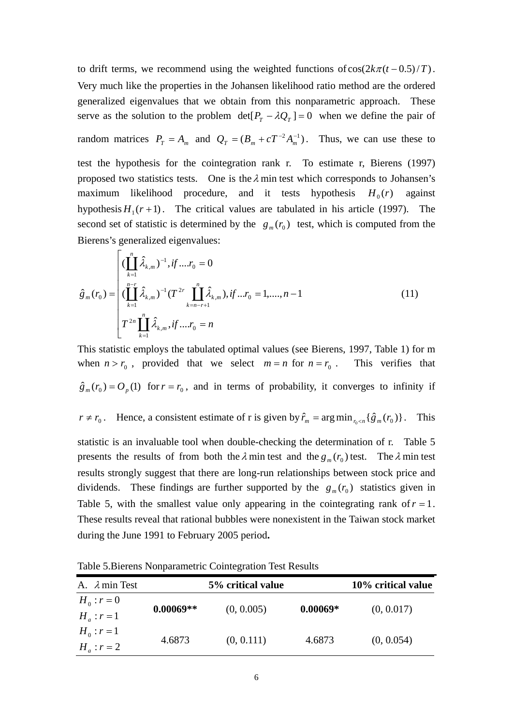to drift terms, we recommend using the weighted functions of  $cos(2k\pi (t - 0.5)/T)$ . Very much like the properties in the Johansen likelihood ratio method are the ordered generalized eigenvalues that we obtain from this nonparametric approach. These serve as the solution to the problem  $\det[P_T - \lambda Q_T] = 0$  when we define the pair of random matrices  $P_T = A_m$  and  $Q_T = (B_m + cT^{-2}A_m^{-1})$ . Thus, we can use these to test the hypothesis for the cointegration rank r. To estimate r, Bierens (1997) proposed two statistics tests. One is the  $\lambda$  min test which corresponds to Johansen's maximum likelihood procedure, and it tests hypothesis  $H_0(r)$  against hypothesis  $H_1(r+1)$ . The critical values are tabulated in his article (1997). The second set of statistic is determined by the  $g_m(r_0)$  test, which is computed from the Bierens's generalized eigenvalues:

$$
\hat{g}_{m}(r_{0}) = \begin{cases}\n(\prod_{k=1}^{n} \hat{\lambda}_{k,m})^{-1}, if ....r_{0} = 0 \\
(\prod_{k=1}^{n-r} \hat{\lambda}_{k,m})^{-1} (T^{2r} \prod_{k=n-r+1}^{n} \hat{\lambda}_{k,m}), if ...r_{0} = 1, ...., n-1 \\
T^{2n} \prod_{k=1}^{n} \hat{\lambda}_{k,m}, if ....r_{0} = n\n\end{cases}
$$
\n(11)

This statistic employs the tabulated optimal values (see Bierens, 1997, Table 1) for m when  $n > r_0$ , provided that we select  $m = n$  for  $n = r_0$ . This verifies that  $\hat{g}_m(r_0) = O_p(1)$  for  $r = r_0$ , and in terms of probability, it converges to infinity if  $r \neq r_0$ . Hence, a consistent estimate of r is given by  $\hat{r}_m = \arg \min_{r_0 \leq n} {\{\hat{g}_m(r_0)\}}$ . This

statistic is an invaluable tool when double-checking the determination of r. Table 5 presents the results of from both the  $\lambda$  min test and the  $g_m(r_0)$  test. The  $\lambda$  min test results strongly suggest that there are long-run relationships between stock price and dividends. These findings are further supported by the  $g_m(r_0)$  statistics given in Table 5, with the smallest value only appearing in the cointegrating rank of  $r = 1$ . These results reveal that rational bubbles were nonexistent in the Taiwan stock market during the June 1991 to February 2005 period**.** 

| A. $\lambda$ min Test           | 5% critical value |            |            | 10% critical value |
|---------------------------------|-------------------|------------|------------|--------------------|
| $H_0: r = 0$<br>$H_a$ : $r = 1$ | $0.00069**$       | (0, 0.005) | $0.00069*$ | (0, 0.017)         |
| $H_0: r=1$                      |                   |            |            |                    |
| $H_a$ : $r = 2$                 | 4.6873            | (0, 0.111) | 4.6873     | (0, 0.054)         |

Table 5.Bierens Nonparametric Cointegration Test Results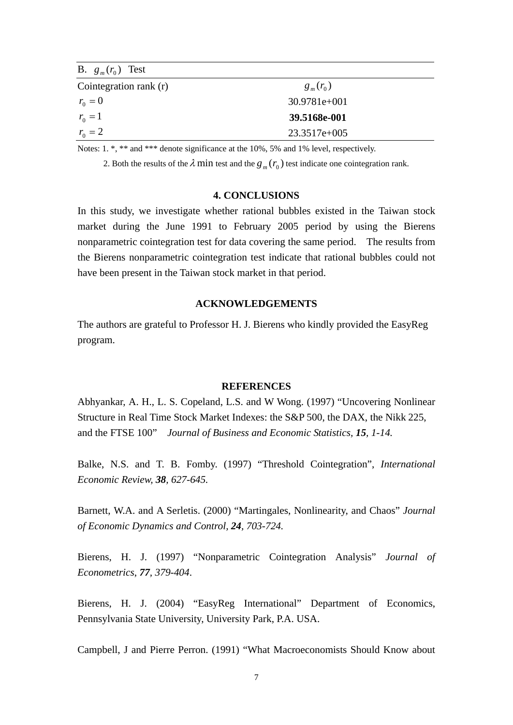| B. $g_m(r_0)$ Test     |                |  |
|------------------------|----------------|--|
| Cointegration rank (r) | $g_{m}(r_{0})$ |  |
| $r_0 = 0$              | $30.9781e+001$ |  |
| $r_0 = 1$              | 39.5168e-001   |  |
| $r_0 = 2$              | 23.3517e+005   |  |

Notes: 1. \*, \*\* and \*\*\* denote significance at the 10%, 5% and 1% level, respectively.

2. Both the results of the  $\lambda$  min test and the  $g_m(r_0)$  test indicate one cointegration rank.

## **4. CONCLUSIONS**

In this study, we investigate whether rational bubbles existed in the Taiwan stock market during the June 1991 to February 2005 period by using the Bierens nonparametric cointegration test for data covering the same period. The results from the Bierens nonparametric cointegration test indicate that rational bubbles could not have been present in the Taiwan stock market in that period.

### **ACKNOWLEDGEMENTS**

The authors are grateful to Professor H. J. Bierens who kindly provided the EasyReg program.

#### **REFERENCES**

Abhyankar, A. H., L. S. Copeland, L.S. and W Wong. (1997) "Uncovering Nonlinear Structure in Real Time Stock Market Indexes: the S&P 500, the DAX, the Nikk 225, and the FTSE 100" *Journal of Business and Economic Statistics, 15, 1-14.* 

Balke, N.S. and T. B. Fomby. (1997) "Threshold Cointegration", *International Economic Review, 38, 627-645.* 

Barnett, W.A. and A Serletis. (2000) "Martingales, Nonlinearity, and Chaos" *Journal of Economic Dynamics and Control, 24, 703-724.* 

Bierens, H. J. (1997) "Nonparametric Cointegration Analysis" *Journal of Econometrics*, *77, 379-404*.

Bierens, H. J. (2004) "EasyReg International" Department of Economics, Pennsylvania State University, University Park, P.A. USA.

Campbell, J and Pierre Perron. (1991) "What Macroeconomists Should Know about